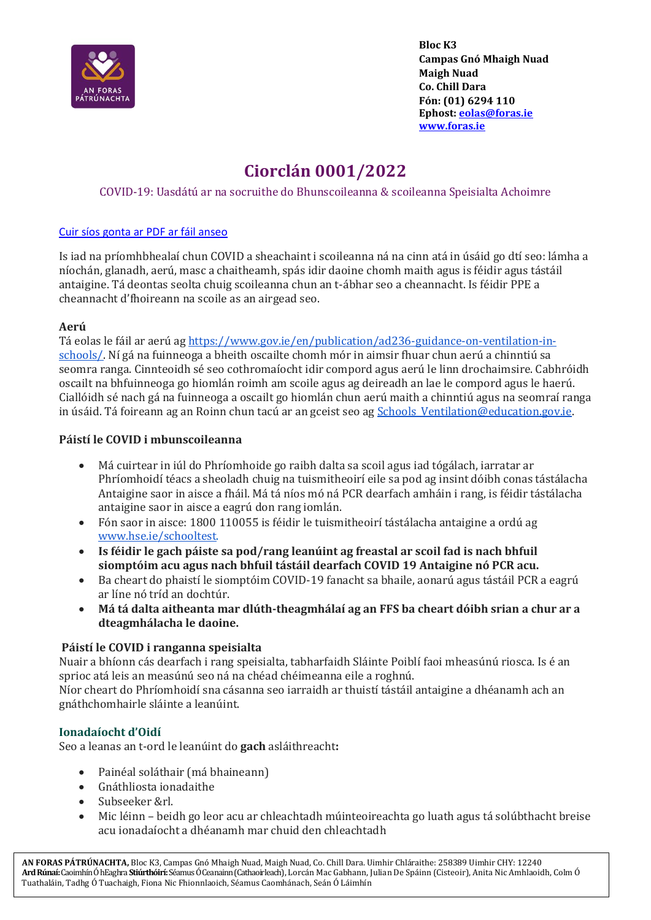

**Bloc K3 Campas Gnó Mhaigh Nuad Maigh Nuad Co. Chill Dara Fón: (01) 6294 110 Ephost: [eolas@foras.ie](file:///C:/Users/Jill%20Mc%20Mahon/Desktop/Obair%20ón%20mbaile/Doiciméid/eolas@foras.ie) [www.foras.ie](file:///C:/Users/Jill%20Mc%20Mahon/Desktop/Obair%20ón%20mbaile/Doiciméid/www.foras.ie)**

# **Ciorclán 0001/2022**

COVID-19: Uasdátú ar na socruithe do Bhunscoileanna & scoileanna Speisialta Achoimre

## [Cuir síos gonta ar](http://www.foras.ie/wp-content/uploads/2022/01/Treoracha-COVID-2022.pdf) PDF ar fáil anseo

Is iad na príomhbhealaí chun COVID a sheachaint i scoileanna ná na cinn atá in úsáid go dtí seo: lámha a níochán, glanadh, aerú, masc a chaitheamh, spás idir daoine chomh maith agus is féidir agus tástáil antaigine. Tá deontas seolta chuig scoileanna chun an t-ábhar seo a cheannacht. Is féidir PPE a cheannacht d'fhoireann na scoile as an airgead seo.

## **Aerú**

Tá eolas le fáil ar aerú ag [https://www.gov.ie/en/publication/ad236-guidance-on-ventilation-in](https://www.gov.ie/en/publication/ad236-guidance-on-ventilation-in-schools/)[schools/.](https://www.gov.ie/en/publication/ad236-guidance-on-ventilation-in-schools/) Ní gá na fuinneoga a bheith oscailte chomh mór in aimsir fhuar chun aerú a chinntiú sa seomra ranga. Cinnteoidh sé seo cothromaíocht idir compord agus aerú le linn drochaimsire. Cabhróidh oscailt na bhfuinneoga go hiomlán roimh am scoile agus ag deireadh an lae le compord agus le haerú. Ciallóidh sé nach gá na fuinneoga a oscailt go hiomlán chun aerú maith a chinntiú agus na seomraí ranga in úsáid. Tá foireann ag an Roinn chun tacú ar an gceist seo ag Schools Ventilation@education.gov.ie.

## **Páistí le COVID i mbunscoileanna**

- Má cuirtear in iúl do Phríomhoide go raibh dalta sa scoil agus iad tógálach, iarratar ar Phríomhoidí téacs a sheoladh chuig na tuismitheoirí eile sa pod ag insint dóibh conas tástálacha Antaigine saor in aisce a fháil. Má tá níos mó ná PCR dearfach amháin i rang, is féidir tástálacha antaigine saor in aisce a eagrú don rang iomlán.
- Fón saor in aisce: 1800 110055 is féidir le tuismitheoirí tástálacha antaigine a ordú ag [www.hse.ie/schooltest.](http://www.hse.ie/schooltest)
- **Is féidir le gach páiste sa pod/rang leanúint ag freastal ar scoil fad is nach bhfuil siomptóim acu agus nach bhfuil tástáil dearfach COVID 19 Antaigine nó PCR acu.**
- Ba cheart do phaistí le siomptóim COVID-19 fanacht sa bhaile, aonarú agus tástáil PCR a eagrú ar líne nó tríd an dochtúr.
- **Má tá dalta aitheanta mar dlúth-theagmhálaí ag an FFS ba cheart dóibh srian a chur ar a dteagmhálacha le daoine.**

#### **Páistí le COVID i ranganna speisialta**

Nuair a bhíonn cás dearfach i rang speisialta, tabharfaidh Sláinte Poiblí faoi mheasúnú riosca. Is é an sprioc atá leis an measúnú seo ná na chéad chéimeanna eile a roghnú. Níor cheart do Phríomhoidí sna cásanna seo iarraidh ar thuistí tástáil antaigine a dhéanamh ach an gnáthchomhairle sláinte a leanúint.

#### **Ionadaíocht d'Oidí**

Seo a leanas an t-ord le leanúint do **gach** asláithreacht**:**

- Painéal soláthair (má bhaineann)
- Gnáthliosta ionadaithe
- Subseeker &rl.
- Mic léinn beidh go leor acu ar chleachtadh múinteoireachta go luath agus tá solúbthacht breise acu ionadaíocht a dhéanamh mar chuid den chleachtadh

**AN FORAS PÁTRÚNACHTA,** Bloc K3, Campas Gnó Mhaigh Nuad, Maigh Nuad, Co. Chill Dara. Uimhir Chláraithe: 258389 Uimhir CHY: 12240 **Ard Rúnaí:** Caoimhín Ó hEaghra**Stiúrthóirí:**Séamus Ó Ceanainn (Cathaoirleach), Lorcán Mac Gabhann, Julian De Spáinn (Cisteoir), Anita Nic Amhlaoidh, Colm Ó Tuathaláin, Tadhg Ó Tuachaigh, Fiona Nic Fhionnlaoich, Séamus Caomhánach, Seán Ó Láimhín